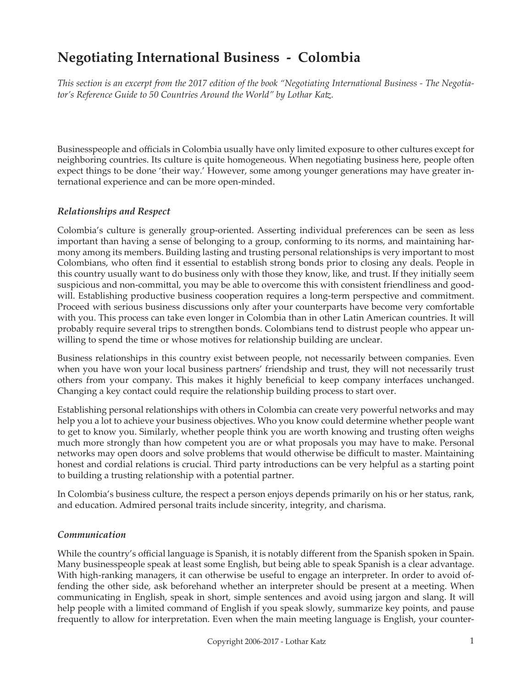# **Negotiating International Business - Colombia**

*This section is an excerpt from the 2017 edition of the book "Negotiating International Business - The Negotiator's Reference Guide to 50 Countries Around the World" by Lothar Katz.*

Businesspeople and officials in Colombia usually have only limited exposure to other cultures except for neighboring countries. Its culture is quite homogeneous. When negotiating business here, people often expect things to be done 'their way.' However, some among younger generations may have greater international experience and can be more open-minded.

#### *Relationships and Respect*

Colombia's culture is generally group-oriented. Asserting individual preferences can be seen as less important than having a sense of belonging to a group, conforming to its norms, and maintaining harmony among its members. Building lasting and trusting personal relationships is very important to most Colombians, who often find it essential to establish strong bonds prior to closing any deals. People in this country usually want to do business only with those they know, like, and trust. If they initially seem suspicious and non-committal, you may be able to overcome this with consistent friendliness and goodwill. Establishing productive business cooperation requires a long-term perspective and commitment. Proceed with serious business discussions only after your counterparts have become very comfortable with you. This process can take even longer in Colombia than in other Latin American countries. It will probably require several trips to strengthen bonds. Colombians tend to distrust people who appear unwilling to spend the time or whose motives for relationship building are unclear.

Business relationships in this country exist between people, not necessarily between companies. Even when you have won your local business partners' friendship and trust, they will not necessarily trust others from your company. This makes it highly beneficial to keep company interfaces unchanged. Changing a key contact could require the relationship building process to start over.

Establishing personal relationships with others in Colombia can create very powerful networks and may help you a lot to achieve your business objectives. Who you know could determine whether people want to get to know you. Similarly, whether people think you are worth knowing and trusting often weighs much more strongly than how competent you are or what proposals you may have to make. Personal networks may open doors and solve problems that would otherwise be difficult to master. Maintaining honest and cordial relations is crucial. Third party introductions can be very helpful as a starting point to building a trusting relationship with a potential partner.

In Colombia's business culture, the respect a person enjoys depends primarily on his or her status, rank, and education. Admired personal traits include sincerity, integrity, and charisma.

### *Communication*

While the country's official language is Spanish, it is notably different from the Spanish spoken in Spain. Many businesspeople speak at least some English, but being able to speak Spanish is a clear advantage. With high-ranking managers, it can otherwise be useful to engage an interpreter. In order to avoid offending the other side, ask beforehand whether an interpreter should be present at a meeting. When communicating in English, speak in short, simple sentences and avoid using jargon and slang. It will help people with a limited command of English if you speak slowly, summarize key points, and pause frequently to allow for interpretation. Even when the main meeting language is English, your counter-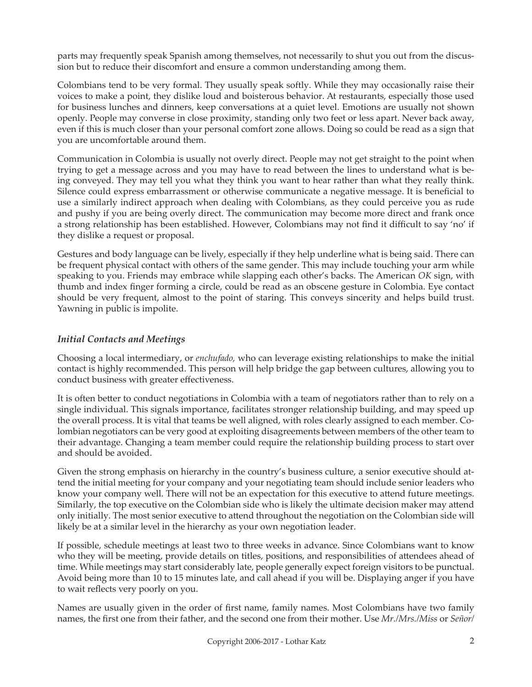parts may frequently speak Spanish among themselves, not necessarily to shut you out from the discussion but to reduce their discomfort and ensure a common understanding among them.

Colombians tend to be very formal. They usually speak softly. While they may occasionally raise their voices to make a point, they dislike loud and boisterous behavior. At restaurants, especially those used for business lunches and dinners, keep conversations at a quiet level. Emotions are usually not shown openly. People may converse in close proximity, standing only two feet or less apart. Never back away, even if this is much closer than your personal comfort zone allows. Doing so could be read as a sign that you are uncomfortable around them.

Communication in Colombia is usually not overly direct. People may not get straight to the point when trying to get a message across and you may have to read between the lines to understand what is being conveyed. They may tell you what they think you want to hear rather than what they really think. Silence could express embarrassment or otherwise communicate a negative message. It is beneficial to use a similarly indirect approach when dealing with Colombians, as they could perceive you as rude and pushy if you are being overly direct. The communication may become more direct and frank once a strong relationship has been established. However, Colombians may not find it difficult to say 'no' if they dislike a request or proposal.

Gestures and body language can be lively, especially if they help underline what is being said. There can be frequent physical contact with others of the same gender. This may include touching your arm while speaking to you. Friends may embrace while slapping each other's backs. The American *OK* sign, with thumb and index finger forming a circle, could be read as an obscene gesture in Colombia. Eye contact should be very frequent, almost to the point of staring. This conveys sincerity and helps build trust. Yawning in public is impolite.

## *Initial Contacts and Meetings*

Choosing a local intermediary, or *enchufado,* who can leverage existing relationships to make the initial contact is highly recommended. This person will help bridge the gap between cultures, allowing you to conduct business with greater effectiveness.

It is often better to conduct negotiations in Colombia with a team of negotiators rather than to rely on a single individual. This signals importance, facilitates stronger relationship building, and may speed up the overall process. It is vital that teams be well aligned, with roles clearly assigned to each member. Colombian negotiators can be very good at exploiting disagreements between members of the other team to their advantage. Changing a team member could require the relationship building process to start over and should be avoided.

Given the strong emphasis on hierarchy in the country's business culture, a senior executive should attend the initial meeting for your company and your negotiating team should include senior leaders who know your company well. There will not be an expectation for this executive to attend future meetings. Similarly, the top executive on the Colombian side who is likely the ultimate decision maker may attend only initially. The most senior executive to attend throughout the negotiation on the Colombian side will likely be at a similar level in the hierarchy as your own negotiation leader.

If possible, schedule meetings at least two to three weeks in advance. Since Colombians want to know who they will be meeting, provide details on titles, positions, and responsibilities of attendees ahead of time. While meetings may start considerably late, people generally expect foreign visitors to be punctual. Avoid being more than 10 to 15 minutes late, and call ahead if you will be. Displaying anger if you have to wait reflects very poorly on you.

Names are usually given in the order of first name, family names. Most Colombians have two family names, the first one from their father, and the second one from their mother. Use *Mr./Mrs./Miss* or *Señor/*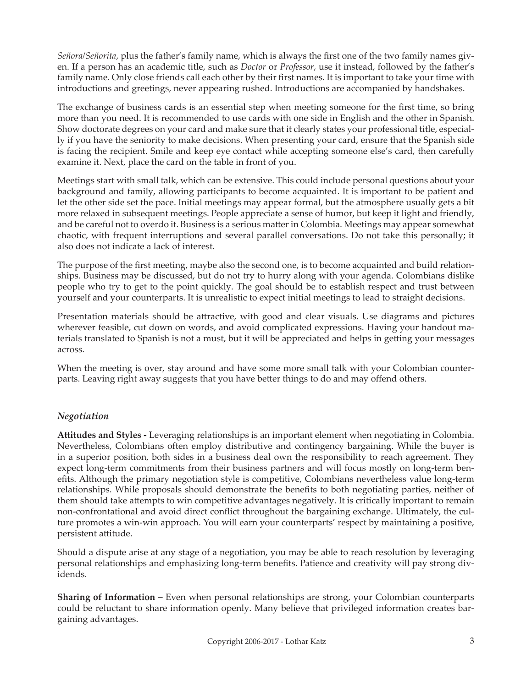*Señora/Señorita*, plus the father's family name, which is always the first one of the two family names given. If a person has an academic title, such as *Doctor* or *Professor*, use it instead, followed by the father's family name. Only close friends call each other by their first names. It is important to take your time with introductions and greetings, never appearing rushed. Introductions are accompanied by handshakes.

The exchange of business cards is an essential step when meeting someone for the first time, so bring more than you need. It is recommended to use cards with one side in English and the other in Spanish. Show doctorate degrees on your card and make sure that it clearly states your professional title, especially if you have the seniority to make decisions. When presenting your card, ensure that the Spanish side is facing the recipient. Smile and keep eye contact while accepting someone else's card, then carefully examine it. Next, place the card on the table in front of you.

Meetings start with small talk, which can be extensive. This could include personal questions about your background and family, allowing participants to become acquainted. It is important to be patient and let the other side set the pace. Initial meetings may appear formal, but the atmosphere usually gets a bit more relaxed in subsequent meetings. People appreciate a sense of humor, but keep it light and friendly, and be careful not to overdo it. Business is a serious matter in Colombia. Meetings may appear somewhat chaotic, with frequent interruptions and several parallel conversations. Do not take this personally; it also does not indicate a lack of interest.

The purpose of the first meeting, maybe also the second one, is to become acquainted and build relationships. Business may be discussed, but do not try to hurry along with your agenda. Colombians dislike people who try to get to the point quickly. The goal should be to establish respect and trust between yourself and your counterparts. It is unrealistic to expect initial meetings to lead to straight decisions.

Presentation materials should be attractive, with good and clear visuals. Use diagrams and pictures wherever feasible, cut down on words, and avoid complicated expressions. Having your handout materials translated to Spanish is not a must, but it will be appreciated and helps in getting your messages across.

When the meeting is over, stay around and have some more small talk with your Colombian counterparts. Leaving right away suggests that you have better things to do and may offend others.

### *Negotiation*

**Attitudes and Styles -** Leveraging relationships is an important element when negotiating in Colombia. Nevertheless, Colombians often employ distributive and contingency bargaining. While the buyer is in a superior position, both sides in a business deal own the responsibility to reach agreement. They expect long-term commitments from their business partners and will focus mostly on long-term benefits. Although the primary negotiation style is competitive, Colombians nevertheless value long-term relationships. While proposals should demonstrate the benefits to both negotiating parties, neither of them should take attempts to win competitive advantages negatively. It is critically important to remain non-confrontational and avoid direct conflict throughout the bargaining exchange. Ultimately, the culture promotes a win-win approach. You will earn your counterparts' respect by maintaining a positive, persistent attitude.

Should a dispute arise at any stage of a negotiation, you may be able to reach resolution by leveraging personal relationships and emphasizing long-term benefits. Patience and creativity will pay strong dividends.

**Sharing of Information –** Even when personal relationships are strong, your Colombian counterparts could be reluctant to share information openly. Many believe that privileged information creates bargaining advantages.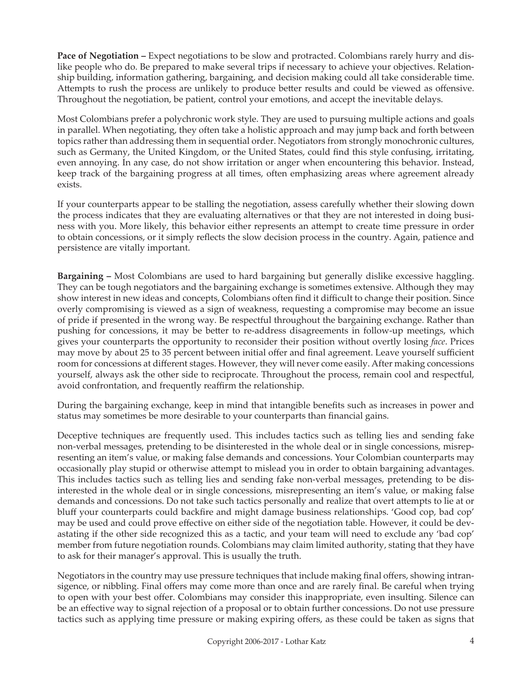**Pace of Negotiation –** Expect negotiations to be slow and protracted. Colombians rarely hurry and dislike people who do. Be prepared to make several trips if necessary to achieve your objectives. Relationship building, information gathering, bargaining, and decision making could all take considerable time. Attempts to rush the process are unlikely to produce better results and could be viewed as offensive. Throughout the negotiation, be patient, control your emotions, and accept the inevitable delays.

Most Colombians prefer a polychronic work style. They are used to pursuing multiple actions and goals in parallel. When negotiating, they often take a holistic approach and may jump back and forth between topics rather than addressing them in sequential order. Negotiators from strongly monochronic cultures, such as Germany, the United Kingdom, or the United States, could find this style confusing, irritating, even annoying. In any case, do not show irritation or anger when encountering this behavior. Instead, keep track of the bargaining progress at all times, often emphasizing areas where agreement already exists.

If your counterparts appear to be stalling the negotiation, assess carefully whether their slowing down the process indicates that they are evaluating alternatives or that they are not interested in doing business with you. More likely, this behavior either represents an attempt to create time pressure in order to obtain concessions, or it simply reflects the slow decision process in the country. Again, patience and persistence are vitally important.

**Bargaining –** Most Colombians are used to hard bargaining but generally dislike excessive haggling. They can be tough negotiators and the bargaining exchange is sometimes extensive. Although they may show interest in new ideas and concepts, Colombians often find it difficult to change their position. Since overly compromising is viewed as a sign of weakness, requesting a compromise may become an issue of pride if presented in the wrong way. Be respectful throughout the bargaining exchange. Rather than pushing for concessions, it may be better to re-address disagreements in follow-up meetings, which gives your counterparts the opportunity to reconsider their position without overtly losing *face*. Prices may move by about 25 to 35 percent between initial offer and final agreement. Leave yourself sufficient room for concessions at different stages. However, they will never come easily. After making concessions yourself, always ask the other side to reciprocate. Throughout the process, remain cool and respectful, avoid confrontation, and frequently reaffirm the relationship.

During the bargaining exchange, keep in mind that intangible benefits such as increases in power and status may sometimes be more desirable to your counterparts than financial gains.

Deceptive techniques are frequently used. This includes tactics such as telling lies and sending fake non-verbal messages, pretending to be disinterested in the whole deal or in single concessions, misrepresenting an item's value, or making false demands and concessions. Your Colombian counterparts may occasionally play stupid or otherwise attempt to mislead you in order to obtain bargaining advantages. This includes tactics such as telling lies and sending fake non-verbal messages, pretending to be disinterested in the whole deal or in single concessions, misrepresenting an item's value, or making false demands and concessions. Do not take such tactics personally and realize that overt attempts to lie at or bluff your counterparts could backfire and might damage business relationships. 'Good cop, bad cop' may be used and could prove effective on either side of the negotiation table. However, it could be devastating if the other side recognized this as a tactic, and your team will need to exclude any 'bad cop' member from future negotiation rounds. Colombians may claim limited authority, stating that they have to ask for their manager's approval. This is usually the truth.

Negotiators in the country may use pressure techniques that include making final offers, showing intransigence, or nibbling. Final offers may come more than once and are rarely final. Be careful when trying to open with your best offer. Colombians may consider this inappropriate, even insulting. Silence can be an effective way to signal rejection of a proposal or to obtain further concessions. Do not use pressure tactics such as applying time pressure or making expiring offers, as these could be taken as signs that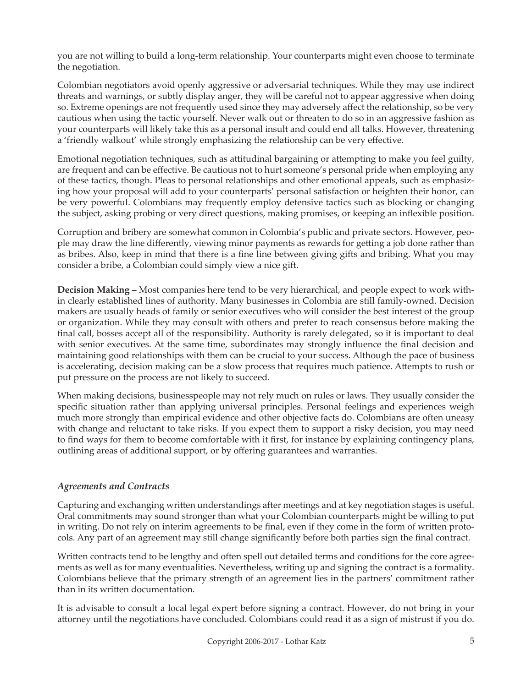you are not willing to build a long-term relationship. Your counterparts might even choose to terminate the negotiation.

Colombian negotiators avoid openly aggressive or adversarial techniques. While they may use indirect threats and warnings, or subtly display anger, they will be careful not to appear aggressive when doing so. Extreme openings are not frequently used since they may adversely affect the relationship, so be very cautious when using the tactic yourself. Never walk out or threaten to do so in an aggressive fashion as your counterparts will likely take this as a personal insult and could end all talks. However, threatening a 'friendly walkout' while strongly emphasizing the relationship can be very effective.

Emotional negotiation techniques, such as attitudinal bargaining or attempting to make you feel guilty, are frequent and can be effective. Be cautious not to hurt someone's personal pride when employing any of these tactics, though. Pleas to personal relationships and other emotional appeals, such as emphasizing how your proposal will add to your counterparts' personal satisfaction or heighten their honor, can be very powerful. Colombians may frequently employ defensive tactics such as blocking or changing the subject, asking probing or very direct questions, making promises, or keeping an inflexible position.

Corruption and bribery are somewhat common in Colombia's public and private sectors. However, people may draw the line differently, viewing minor payments as rewards for getting a job done rather than as bribes. Also, keep in mind that there is a fine line between giving gifts and bribing. What you may consider a bribe, a Colombian could simply view a nice gift.

**Decision Making –** Most companies here tend to be very hierarchical, and people expect to work within clearly established lines of authority. Many businesses in Colombia are still family-owned. Decision makers are usually heads of family or senior executives who will consider the best interest of the group or organization. While they may consult with others and prefer to reach consensus before making the final call, bosses accept all of the responsibility. Authority is rarely delegated, so it is important to deal with senior executives. At the same time, subordinates may strongly influence the final decision and maintaining good relationships with them can be crucial to your success. Although the pace of business is accelerating, decision making can be a slow process that requires much patience. Attempts to rush or put pressure on the process are not likely to succeed.

When making decisions, businesspeople may not rely much on rules or laws. They usually consider the specific situation rather than applying universal principles. Personal feelings and experiences weigh much more strongly than empirical evidence and other objective facts do. Colombians are often uneasy with change and reluctant to take risks. If you expect them to support a risky decision, you may need to find ways for them to become comfortable with it first, for instance by explaining contingency plans, outlining areas of additional support, or by offering guarantees and warranties.

# *Agreements and Contracts*

Capturing and exchanging written understandings after meetings and at key negotiation stages is useful. Oral commitments may sound stronger than what your Colombian counterparts might be willing to put in writing. Do not rely on interim agreements to be final, even if they come in the form of written protocols. Any part of an agreement may still change significantly before both parties sign the final contract.

Written contracts tend to be lengthy and often spell out detailed terms and conditions for the core agreements as well as for many eventualities. Nevertheless, writing up and signing the contract is a formality. Colombians believe that the primary strength of an agreement lies in the partners' commitment rather than in its written documentation.

It is advisable to consult a local legal expert before signing a contract. However, do not bring in your attorney until the negotiations have concluded. Colombians could read it as a sign of mistrust if you do.